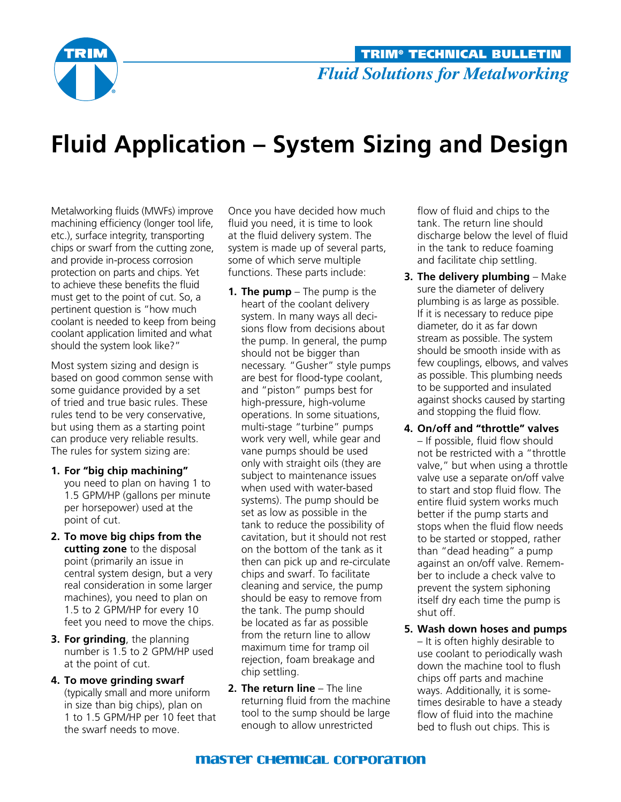

## **Fluid Application – System Sizing and Design**

Metalworking fluids (MWFs) improve machining efficiency (longer tool life, etc.), surface integrity, transporting chips or swarf from the cutting zone, and provide in-process corrosion protection on parts and chips. Yet to achieve these benefits the fluid must get to the point of cut. So, a pertinent question is "how much coolant is needed to keep from being coolant application limited and what should the system look like?"

Most system sizing and design is based on good common sense with some guidance provided by a set of tried and true basic rules. These rules tend to be very conservative, but using them as a starting point can produce very reliable results. The rules for system sizing are:

- **1. For "big chip machining"** you need to plan on having 1 to 1.5 GPM/HP (gallons per minute per horsepower) used at the point of cut.
- **2. To move big chips from the cutting zone** to the disposal point (primarily an issue in central system design, but a very real consideration in some larger machines), you need to plan on 1.5 to 2 GPM/HP for every 10 feet you need to move the chips.
- **3. For grinding**, the planning number is 1.5 to 2 GPM/HP used at the point of cut.
- **4. To move grinding swarf** (typically small and more uniform in size than big chips), plan on 1 to 1.5 gpm/Hp per 10 feet that the swarf needs to move.

Once you have decided how much fluid you need, it is time to look at the fluid delivery system. The system is made up of several parts, some of which serve multiple functions. These parts include:

- **1. The pump** The pump is the heart of the coolant delivery system. In many ways all decisions flow from decisions about the pump. In general, the pump should not be bigger than necessary. "Gusher" style pumps are best for flood-type coolant, and "piston" pumps best for high-pressure, high-volume operations. In some situations, multi-stage "turbine" pumps work very well, while gear and vane pumps should be used only with straight oils (they are subject to maintenance issues when used with water-based systems). The pump should be set as low as possible in the tank to reduce the possibility of cavitation, but it should not rest on the bottom of the tank as it then can pick up and re-circulate chips and swarf. To facilitate cleaning and service, the pump should be easy to remove from the tank. The pump should be located as far as possible from the return line to allow maximum time for tramp oil rejection, foam breakage and chip settling.
- **2. The return line** The line returning fluid from the machine tool to the sump should be large enough to allow unrestricted

flow of fluid and chips to the tank. The return line should discharge below the level of fluid in the tank to reduce foaming and facilitate chip settling.

- **3. The delivery plumbing** Make sure the diameter of delivery plumbing is as large as possible. If it is necessary to reduce pipe diameter, do it as far down stream as possible. The system should be smooth inside with as few couplings, elbows, and valves as possible. This plumbing needs to be supported and insulated against shocks caused by starting and stopping the fluid flow.
- **4. On/off and "throttle" valves** – If possible, fluid flow should not be restricted with a "throttle valve," but when using a throttle valve use a separate on/off valve to start and stop fluid flow. The entire fluid system works much better if the pump starts and stops when the fluid flow needs to be started or stopped, rather than "dead heading" a pump against an on/off valve. Remember to include a check valve to prevent the system siphoning itself dry each time the pump is shut off.
- **5. Wash down hoses and pumps**  – It is often highly desirable to use coolant to periodically wash down the machine tool to flush chips off parts and machine ways. Additionally, it is sometimes desirable to have a steady flow of fluid into the machine bed to flush out chips. This is